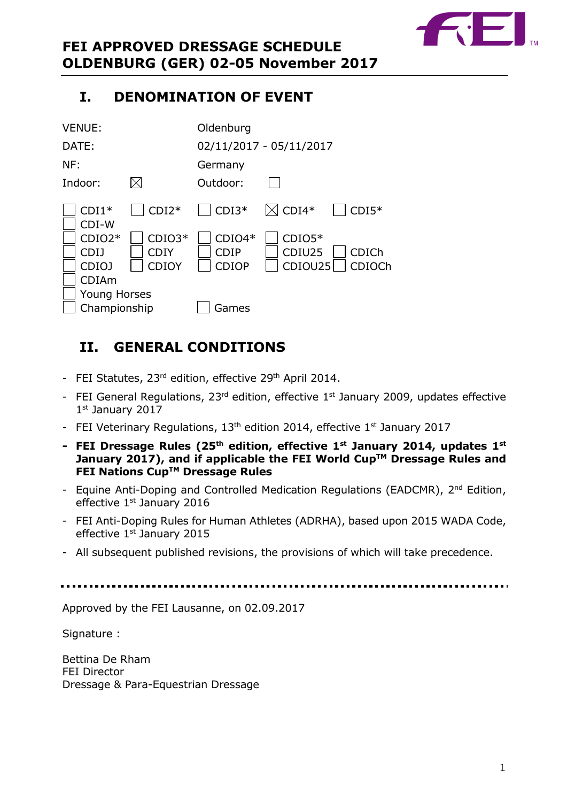

# <span id="page-0-0"></span>**I. DENOMINATION OF EVENT**

| <b>VENUE:</b>                       |                                         | Oldenburg                               |                               |                 |  |
|-------------------------------------|-----------------------------------------|-----------------------------------------|-------------------------------|-----------------|--|
| DATE:                               |                                         | 02/11/2017 - 05/11/2017                 |                               |                 |  |
| NF:                                 |                                         | Germany                                 |                               |                 |  |
| Indoor:                             |                                         | Outdoor:                                |                               |                 |  |
| $CDI1*$<br>CDI-W                    | $CDI2*$                                 | $\vert$ CDI3*                           | $\boxtimes$ CDI4*             | $CDI5*$         |  |
| $CDIO2*$<br>CDIJ<br>CDIOJ           | $CDIO3*$<br><b>CDIY</b><br><b>CDIOY</b> | $CDIO4*$<br><b>CDIP</b><br><b>CDIOP</b> | $CDIO5*$<br>CDIU25<br>CDIOU25 | CDICh<br>CDIOCh |  |
| <b>CDIAm</b><br><b>Young Horses</b> |                                         |                                         |                               |                 |  |
| Championship                        |                                         | Games                                   |                               |                 |  |

# <span id="page-0-1"></span>**II. GENERAL CONDITIONS**

- FEI Statutes, 23<sup>rd</sup> edition, effective 29<sup>th</sup> April 2014.
- FEI General Regulations,  $23<sup>rd</sup>$  edition, effective  $1<sup>st</sup>$  January 2009, updates effective 1st January 2017
- FEI Veterinary Regulations, 13<sup>th</sup> edition 2014, effective 1<sup>st</sup> January 2017
- **- FEI Dressage Rules (25 th edition, effective 1st January 2014, updates 1 st January 2017), and if applicable the FEI World CupTM Dressage Rules and FEI Nations CupTM Dressage Rules**
- Equine Anti-Doping and Controlled Medication Regulations (EADCMR), 2<sup>nd</sup> Edition, effective 1<sup>st</sup> January 2016
- FEI Anti-Doping Rules for Human Athletes (ADRHA), based upon 2015 WADA Code, effective 1<sup>st</sup> January 2015
- All subsequent published revisions, the provisions of which will take precedence.

Approved by the FEI Lausanne, on 02.09.2017

Signature :

Bettina De Rham FEI Director Dressage & Para-Equestrian Dressage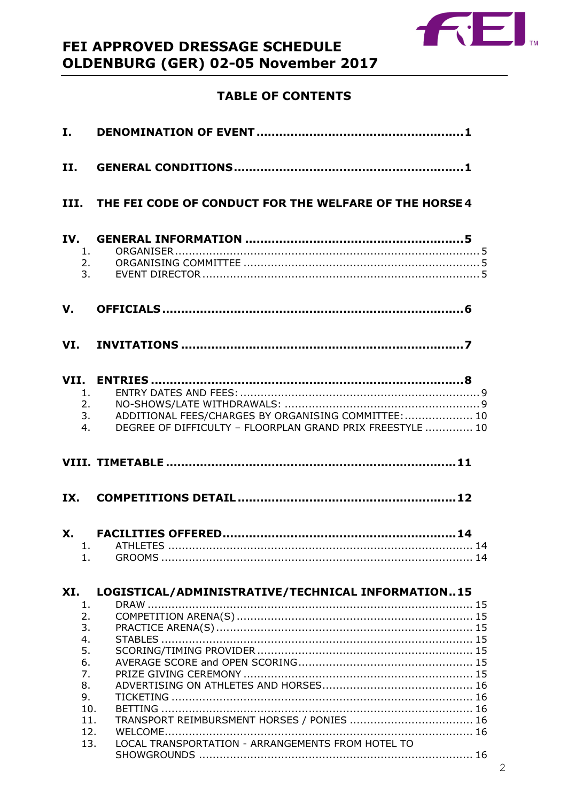

# **TABLE OF CONTENTS**

| II.                                                                                   |                                                                                                                                                      |
|---------------------------------------------------------------------------------------|------------------------------------------------------------------------------------------------------------------------------------------------------|
|                                                                                       | III. THE FEI CODE OF CONDUCT FOR THE WELFARE OF THE HORSE 4                                                                                          |
| IV.<br>3.                                                                             | 1.<br>2.                                                                                                                                             |
| V.                                                                                    |                                                                                                                                                      |
|                                                                                       |                                                                                                                                                      |
| 1.<br>4.                                                                              | 2.<br>ADDITIONAL FEES/CHARGES BY ORGANISING COMMITTEE:  10<br>3.<br>DEGREE OF DIFFICULTY - FLOORPLAN GRAND PRIX FREESTYLE  10                        |
|                                                                                       |                                                                                                                                                      |
|                                                                                       |                                                                                                                                                      |
| <b>X.</b><br>1.                                                                       |                                                                                                                                                      |
| XI.<br>1.<br>2.<br>3.<br>4.<br>5.<br>6.<br>7.<br>8.<br>9.<br>10.<br>11.<br>12.<br>13. | LOGISTICAL/ADMINISTRATIVE/TECHNICAL INFORMATION15<br>TRANSPORT REIMBURSMENT HORSES / PONIES  16<br>LOCAL TRANSPORTATION - ARRANGEMENTS FROM HOTEL TO |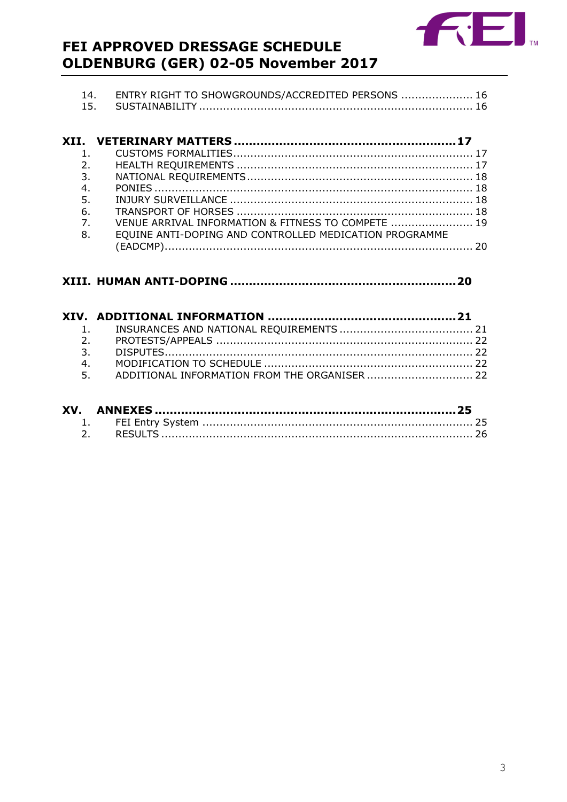

| ENTRY RIGHT TO SHOWGROUNDS/ACCREDITED PERSONS  16 |  |
|---------------------------------------------------|--|
|                                                   |  |

| 1.             |                                                        |  |
|----------------|--------------------------------------------------------|--|
| 2 <sub>1</sub> |                                                        |  |
| 3.             |                                                        |  |
| 4.             |                                                        |  |
| 5.             |                                                        |  |
| 6.             |                                                        |  |
| $\overline{7}$ | VENUE ARRIVAL INFORMATION & FITNESS TO COMPETE  19     |  |
| 8.             | EQUINE ANTI-DOPING AND CONTROLLED MEDICATION PROGRAMME |  |
|                |                                                        |  |

# 

| 4.                                               |  |
|--------------------------------------------------|--|
| 5. ADDITIONAL INFORMATION FROM THE ORGANISER  22 |  |
|                                                  |  |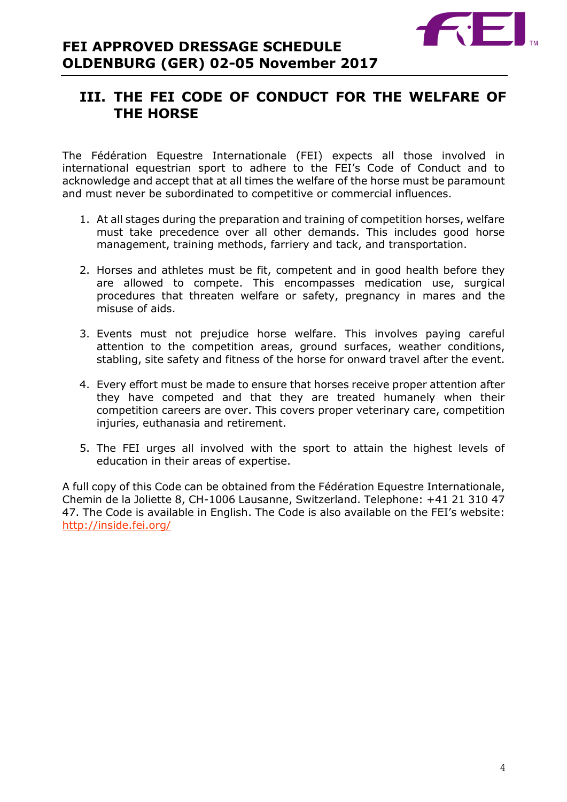

# <span id="page-3-0"></span>**III. THE FEI CODE OF CONDUCT FOR THE WELFARE OF THE HORSE**

The Fédération Equestre Internationale (FEI) expects all those involved in international equestrian sport to adhere to the FEI's Code of Conduct and to acknowledge and accept that at all times the welfare of the horse must be paramount and must never be subordinated to competitive or commercial influences.

- 1. At all stages during the preparation and training of competition horses, welfare must take precedence over all other demands. This includes good horse management, training methods, farriery and tack, and transportation.
- 2. Horses and athletes must be fit, competent and in good health before they are allowed to compete. This encompasses medication use, surgical procedures that threaten welfare or safety, pregnancy in mares and the misuse of aids.
- 3. Events must not prejudice horse welfare. This involves paying careful attention to the competition areas, ground surfaces, weather conditions, stabling, site safety and fitness of the horse for onward travel after the event.
- 4. Every effort must be made to ensure that horses receive proper attention after they have competed and that they are treated humanely when their competition careers are over. This covers proper veterinary care, competition injuries, euthanasia and retirement.
- 5. The FEI urges all involved with the sport to attain the highest levels of education in their areas of expertise.

A full copy of this Code can be obtained from the Fédération Equestre Internationale, Chemin de la Joliette 8, CH-1006 Lausanne, Switzerland. Telephone: +41 21 310 47 47. The Code is available in English. The Code is also available on the FEI's website: <http://inside.fei.org/>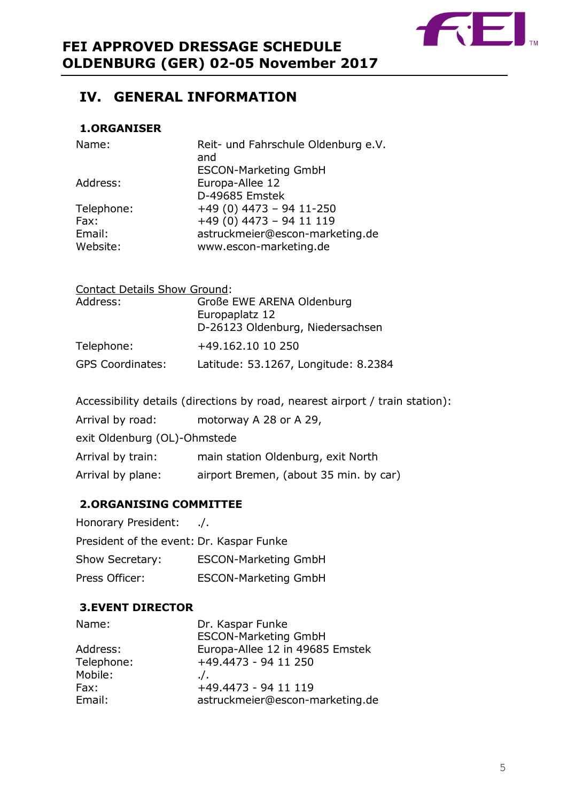

# <span id="page-4-0"></span>**IV. GENERAL INFORMATION**

# <span id="page-4-1"></span>**1.ORGANISER**

| Name:      | Reit- und Fahrschule Oldenburg e.V.<br>and<br><b>ESCON-Marketing GmbH</b> |
|------------|---------------------------------------------------------------------------|
| Address:   | Europa-Allee 12                                                           |
|            | D-49685 Emstek                                                            |
| Telephone: | $+49(0)$ 4473 - 94 11-250                                                 |
| Fax:       | $+49(0)$ 4473 - 94 11 119                                                 |
| Email:     | astruckmeier@escon-marketing.de                                           |
| Website:   | www.escon-marketing.de                                                    |

| <b>Contact Details Show Ground:</b> |                                      |
|-------------------------------------|--------------------------------------|
| Address:                            | Große EWE ARENA Oldenburg            |
|                                     | Europaplatz 12                       |
|                                     | D-26123 Oldenburg, Niedersachsen     |
| Telephone:                          | +49.162.10 10 250                    |
| <b>GPS Coordinates:</b>             | Latitude: 53.1267, Longitude: 8.2384 |

| Accessibility details (directions by road, nearest airport / train station): |                                        |  |  |  |
|------------------------------------------------------------------------------|----------------------------------------|--|--|--|
| Arrival by road:                                                             | motorway A 28 or A 29,                 |  |  |  |
| exit Oldenburg (OL)-Ohmstede                                                 |                                        |  |  |  |
| Arrival by train:                                                            | main station Oldenburg, exit North     |  |  |  |
| Arrival by plane:                                                            | airport Bremen, (about 35 min. by car) |  |  |  |

# <span id="page-4-2"></span>**2.ORGANISING COMMITTEE**

| Honorary President:                      | $\Lambda$ .                 |
|------------------------------------------|-----------------------------|
| President of the event: Dr. Kaspar Funke |                             |
| Show Secretary:                          | <b>ESCON-Marketing GmbH</b> |
| Press Officer:                           | <b>ESCON-Marketing GmbH</b> |

# <span id="page-4-3"></span>**3.EVENT DIRECTOR**

| Name:      | Dr. Kaspar Funke                |
|------------|---------------------------------|
|            | <b>ESCON-Marketing GmbH</b>     |
| Address:   | Europa-Allee 12 in 49685 Emstek |
| Telephone: | +49.4473 - 94 11 250            |
| Mobile:    | $\cdot$ .                       |
| Fax:       | +49.4473 - 94 11 119            |
| Email:     | astruckmeier@escon-marketing.de |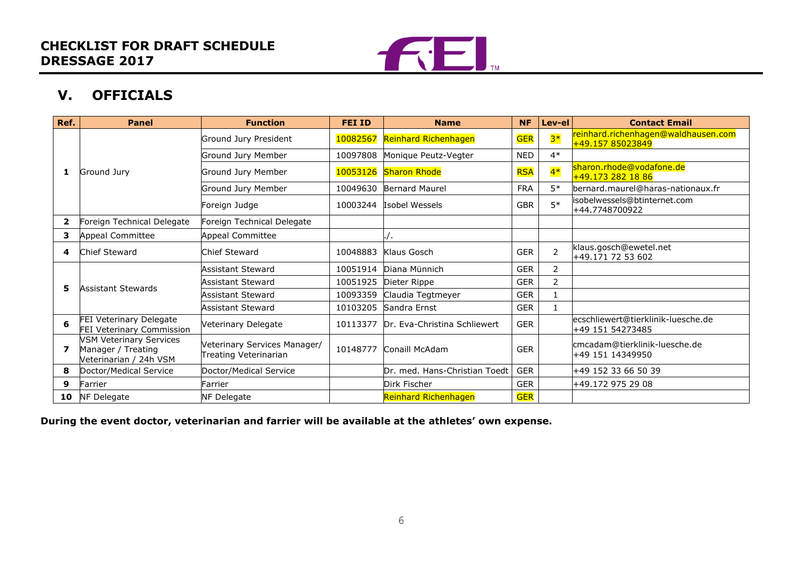

# **V. OFFICIALS**

| Ref.                    | <b>Panel</b>                                                            | <b>Function</b>                                       | <b>FEI ID</b> | <b>Name</b>                   | <b>NF</b>  | Lev-el         | <b>Contact Email</b>                                    |
|-------------------------|-------------------------------------------------------------------------|-------------------------------------------------------|---------------|-------------------------------|------------|----------------|---------------------------------------------------------|
|                         |                                                                         | Ground Jury President                                 |               | 10082567 Reinhard Richenhagen | <b>GER</b> | $3*$           | reinhard.richenhagen@waldhausen.com<br>+49.157 85023849 |
|                         |                                                                         | Ground Jury Member                                    | 10097808      | Monique Peutz-Vegter          | <b>NED</b> | $4*$           |                                                         |
| 1                       | Ground Jury                                                             | Ground Jury Member                                    | 10053126      | <b>Sharon Rhode</b>           | <b>RSA</b> | $4*$           | sharon.rhode@vodafone.de<br>+49.173 282 18 86           |
|                         |                                                                         | Ground Jury Member                                    |               | 10049630 Bernard Maurel       | <b>FRA</b> | $5*$           | bernard.maurel@haras-nationaux.fr                       |
|                         |                                                                         | Foreign Judge                                         | 10003244      | Isobel Wessels                | <b>GBR</b> | $5*$           | isobelwessels@btinternet.com<br>+44.7748700922          |
| $\overline{\mathbf{2}}$ | Foreign Technical Delegate                                              | Foreign Technical Delegate                            |               |                               |            |                |                                                         |
| з                       | Appeal Committee                                                        | <b>Appeal Committee</b>                               |               |                               |            |                |                                                         |
| 4                       | <b>Chief Steward</b>                                                    | Chief Steward                                         | 10048883      | Klaus Gosch                   | <b>GER</b> | $\overline{2}$ | klaus.gosch@ewetel.net<br>+49.171 72 53 602             |
|                         | <b>Assistant Stewards</b>                                               | <b>Assistant Steward</b>                              | 10051914      | Diana Münnich                 | <b>GER</b> | $\overline{2}$ |                                                         |
| 5                       |                                                                         | Assistant Steward                                     | 10051925      | Dieter Rippe                  | <b>GER</b> | $\overline{2}$ |                                                         |
|                         |                                                                         | <b>Assistant Steward</b>                              | 10093359      | Claudia Tegtmeyer             | <b>GER</b> |                |                                                         |
|                         |                                                                         | <b>Assistant Steward</b>                              | 10103205      | Sandra Ernst                  | <b>GER</b> |                |                                                         |
| 6                       | FEI Veterinary Delegate<br><b>FEI Veterinary Commission</b>             | Veterinary Delegate                                   | 10113377      | Dr. Eva-Christina Schliewert  | <b>GER</b> |                | ecschliewert@tierklinik-luesche.de<br>+49 151 54273485  |
| 7                       | VSM Veterinary Services<br>Manager / Treating<br>Veterinarian / 24h VSM | Veterinary Services Manager/<br>Treating Veterinarian | 10148777      | Conaill McAdam                | <b>GER</b> |                | cmcadam@tierklinik-luesche.de<br>+49 151 14349950       |
| 8                       | Doctor/Medical Service                                                  | Doctor/Medical Service                                |               | Dr. med. Hans-Christian Toedt | <b>GER</b> |                | +49 152 33 66 50 39                                     |
| 9                       | Farrier                                                                 | Farrier                                               |               | Dirk Fischer                  | <b>GER</b> |                | +49.172 975 29 08                                       |
| 10                      | <b>NF Delegate</b>                                                      | NF Delegate                                           |               | Reinhard Richenhagen          | <b>GER</b> |                |                                                         |

<span id="page-5-0"></span>**During the event doctor, veterinarian and farrier will be available at the athletes' own expense.**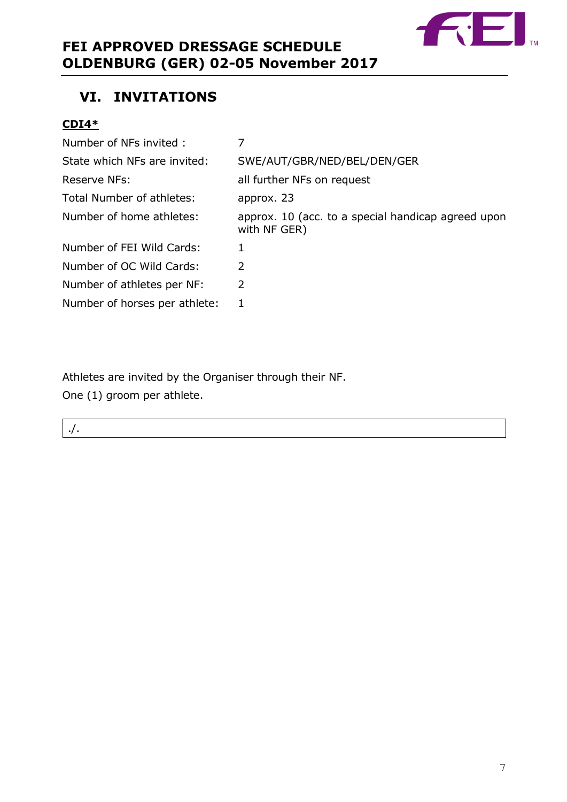

# <span id="page-6-0"></span>**VI. INVITATIONS**

# **CDI4\***

| Number of NFs invited:        |                                                                    |
|-------------------------------|--------------------------------------------------------------------|
| State which NFs are invited:  | SWE/AUT/GBR/NED/BEL/DEN/GER                                        |
| Reserve NFs:                  | all further NFs on request                                         |
| Total Number of athletes:     | approx. 23                                                         |
| Number of home athletes:      | approx. 10 (acc. to a special handicap agreed upon<br>with NF GER) |
| Number of FEI Wild Cards:     | 1                                                                  |
| Number of OC Wild Cards:      | $\mathcal{P}$                                                      |
| Number of athletes per NF:    | 2                                                                  |
| Number of horses per athlete: | 1                                                                  |

Athletes are invited by the Organiser through their NF.

One (1) groom per athlete.

<span id="page-6-1"></span>./.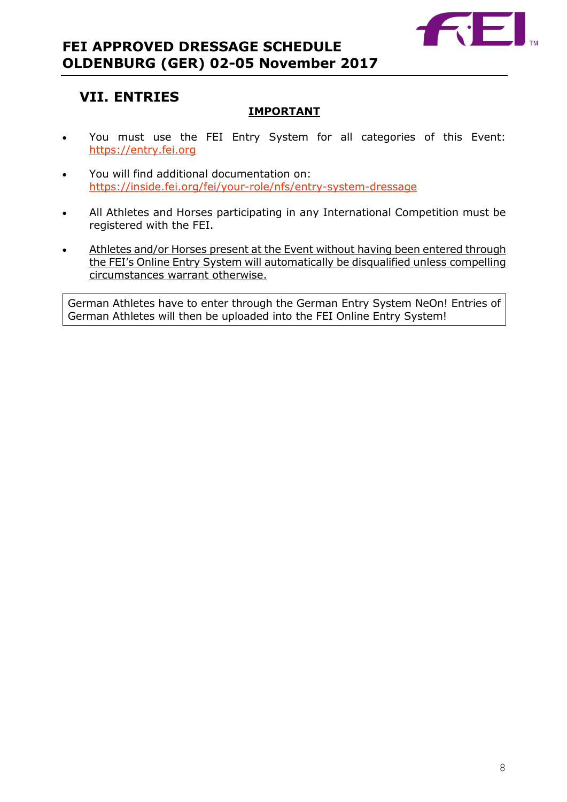

# **VII. ENTRIES**

# **IMPORTANT**

- You must use the FEI Entry System for all categories of this Event: [https://entry.fei.org](https://entry.fei.org/)
- You will find additional documentation on: <https://inside.fei.org/fei/your-role/nfs/entry-system-dressage>
- All Athletes and Horses participating in any International Competition must be registered with the FEI.
- Athletes and/or Horses present at the Event without having been entered through the FEI's Online Entry System will automatically be disqualified unless compelling circumstances warrant otherwise.

German Athletes have to enter through the German Entry System NeOn! Entries of German Athletes will then be uploaded into the FEI Online Entry System!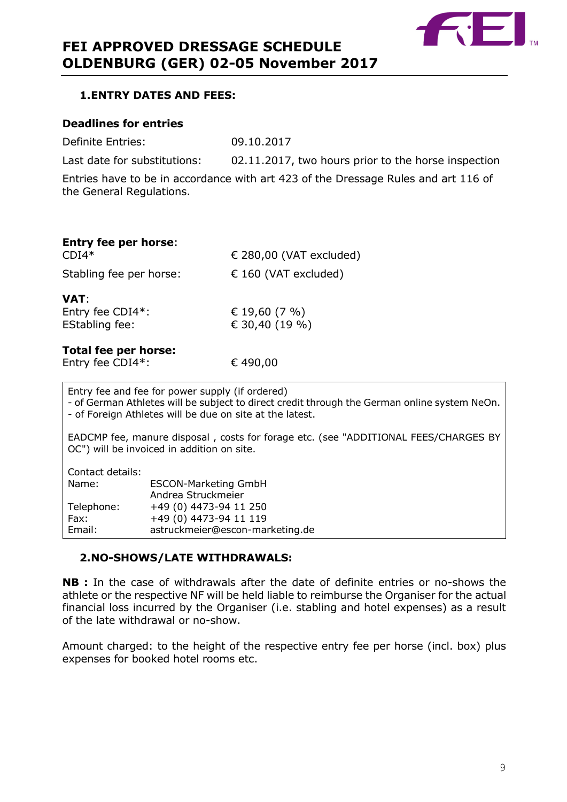

## <span id="page-8-0"></span>**1.ENTRY DATES AND FEES:**

## **Deadlines for entries**

Definite Entries: 09.10.2017

Last date for substitutions: 02.11.2017, two hours prior to the horse inspection

Entries have to be in accordance with art 423 of the Dressage Rules and art 116 of the General Regulations.

| <b>Entry fee per horse:</b><br>$CDI4*$            | € 280,00 (VAT excluded)         |
|---------------------------------------------------|---------------------------------|
| Stabling fee per horse:                           | $\epsilon$ 160 (VAT excluded)   |
| VAT:<br>Entry fee CDI4*:<br><b>EStabling fee:</b> | € 19,60 (7 %)<br>€ 30,40 (19 %) |
| Total fee ner horse:                              |                                 |

# **Total fee per horse:**

Entry fee CDI4\*:  $6490,00$ 

Entry fee and fee for power supply (if ordered) - of German Athletes will be subject to direct credit through the German online system NeOn. - of Foreign Athletes will be due on site at the latest. EADCMP fee, manure disposal , costs for forage etc. (see "ADDITIONAL FEES/CHARGES BY OC") will be invoiced in addition on site. Contact details: Name: ESCON-Marketing GmbH Andrea Struckmeier Telephone: +49 (0) 4473-94 11 250 Fax: +49 (0) 4473-94 11 119 Email: astruckmeier@escon-marketing.de

# <span id="page-8-1"></span>**2.NO-SHOWS/LATE WITHDRAWALS:**

**NB :** In the case of withdrawals after the date of definite entries or no-shows the athlete or the respective NF will be held liable to reimburse the Organiser for the actual financial loss incurred by the Organiser (i.e. stabling and hotel expenses) as a result of the late withdrawal or no-show.

Amount charged: to the height of the respective entry fee per horse (incl. box) plus expenses for booked hotel rooms etc.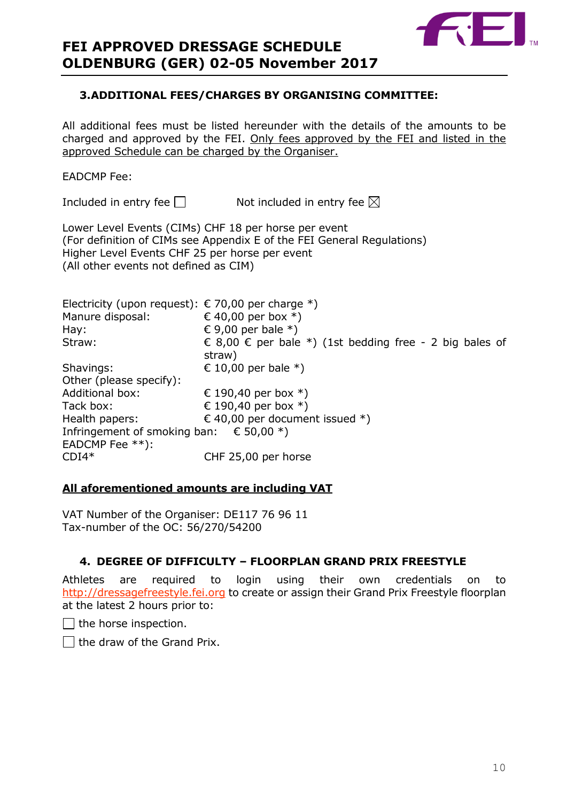

## <span id="page-9-0"></span>**3.ADDITIONAL FEES/CHARGES BY ORGANISING COMMITTEE:**

All additional fees must be listed hereunder with the details of the amounts to be charged and approved by the FEI. Only fees approved by the FEI and listed in the approved Schedule can be charged by the Organiser.

## EADCMP Fee:

Included in entry fee  $\Box$  Not included in entry fee  $\boxtimes$ 

Lower Level Events (CIMs) CHF 18 per horse per event (For definition of CIMs see Appendix E of the FEI General Regulations) Higher Level Events CHF 25 per horse per event (All other events not defined as CIM)

| Electricity (upon request): € 70,00 per charge *)    |                                                         |
|------------------------------------------------------|---------------------------------------------------------|
| Manure disposal:                                     | € 40,00 per box $*$ )                                   |
| $\mathsf{Hay:}$                                      | € 9,00 per bale $*$ )                                   |
| Straw:                                               | € 8,00 € per bale *) (1st bedding free - 2 big bales of |
|                                                      | straw)                                                  |
| Shavings:                                            | € 10,00 per bale $*$ )                                  |
| Other (please specify):                              |                                                         |
| <b>Additional box:</b>                               | € 190,40 per box $*$ )                                  |
| Tack box:                                            | € 190,40 per box $*$ )                                  |
| Health papers:                                       | € 40,00 per document issued $*$ )                       |
| Infringement of smoking ban: $\epsilon$ 50,00 $^*$ ) |                                                         |
| EADCMP Fee $**$ ):                                   |                                                         |
| $CDI4*$                                              | CHF 25,00 per horse                                     |

#### **All aforementioned amounts are including VAT**

VAT Number of the Organiser: DE117 76 96 11 Tax-number of the OC: 56/270/54200

# <span id="page-9-1"></span>**4. DEGREE OF DIFFICULTY – FLOORPLAN GRAND PRIX FREESTYLE**

Athletes are required to login using their own credentials on to [http://dressagefreestyle.fei.org](http://dressagefreestyle.fei.org/) to create or assign their Grand Prix Freestyle floorplan at the latest 2 hours prior to:

 $\Box$  the horse inspection.

 $\Box$  the draw of the Grand Prix.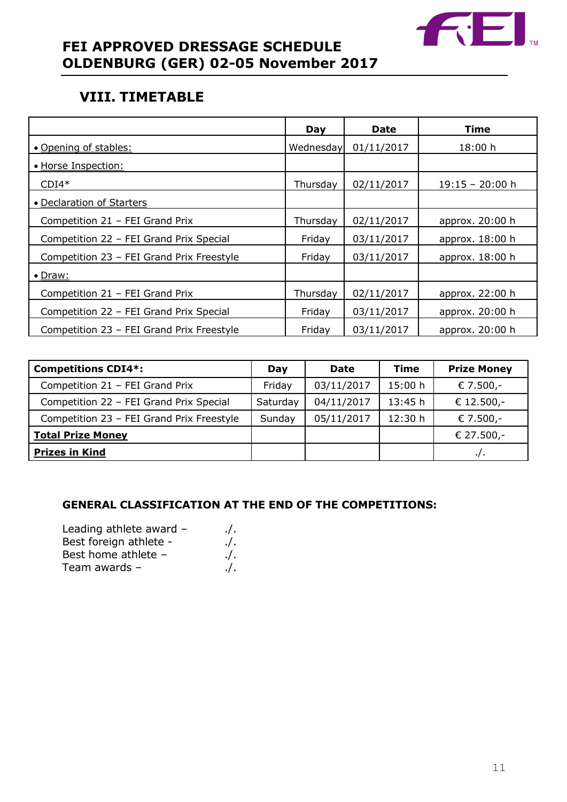

# <span id="page-10-0"></span>**VIII. TIMETABLE**

|                                           | Day       | Date       | Time              |
|-------------------------------------------|-----------|------------|-------------------|
| • Opening of stables:                     | Wednesday | 01/11/2017 | 18:00 h           |
| • Horse Inspection:                       |           |            |                   |
| $CDI4*$                                   | Thursday  | 02/11/2017 | $19:15 - 20:00$ h |
| • Declaration of Starters                 |           |            |                   |
| Competition 21 - FEI Grand Prix           | Thursday  | 02/11/2017 | approx. 20:00 h   |
| Competition 22 - FEI Grand Prix Special   | Friday    | 03/11/2017 | approx. 18:00 h   |
| Competition 23 - FEI Grand Prix Freestyle | Friday    | 03/11/2017 | approx. 18:00 h   |
| $\bullet$ Draw:                           |           |            |                   |
| Competition 21 - FEI Grand Prix           | Thursday  | 02/11/2017 | approx. 22:00 h   |
| Competition 22 - FEI Grand Prix Special   | Friday    | 03/11/2017 | approx. 20:00 h   |
| Competition 23 - FEI Grand Prix Freestyle | Friday    | 03/11/2017 | approx. 20:00 h   |

| <b>Competitions CDI4*:</b>                | Day      | <b>Date</b> | Time    | <b>Prize Money</b> |
|-------------------------------------------|----------|-------------|---------|--------------------|
| Competition 21 - FEI Grand Prix           | Friday   | 03/11/2017  | 15:00 h | € 7.500,-          |
| Competition 22 - FEI Grand Prix Special   | Saturday | 04/11/2017  | 13:45 h | € 12.500,-         |
| Competition 23 - FEI Grand Prix Freestyle | Sunday   | 05/11/2017  | 12:30 h | € 7.500,-          |
| <b>Total Prize Money</b>                  |          |             |         | € 27.500,-         |
| <b>Prizes in Kind</b>                     |          |             |         | $\cdot$ / $\cdot$  |

# **GENERAL CLASSIFICATION AT THE END OF THE COMPETITIONS:**

| Leading athlete award - | $\cdot$ /. |
|-------------------------|------------|
| Best foreign athlete -  | $\cdot$ /. |
| Best home athlete -     | $\cdot$ /. |
| Team awards -           | $\cdot$ /. |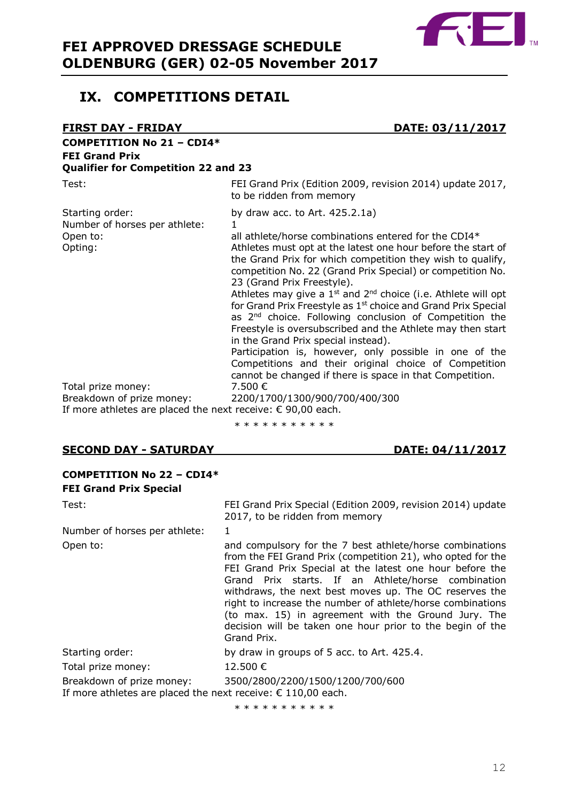

# <span id="page-11-0"></span>**IX. COMPETITIONS DETAIL**

| <b>FIRST DAY - FRIDAY</b>                                                                                               | DATE: 03/11/2017                                                                                                                                                                                                                                                                                                                                                                                                                                                                                                                                                                                                                                                                                                                                                                                                                                      |
|-------------------------------------------------------------------------------------------------------------------------|-------------------------------------------------------------------------------------------------------------------------------------------------------------------------------------------------------------------------------------------------------------------------------------------------------------------------------------------------------------------------------------------------------------------------------------------------------------------------------------------------------------------------------------------------------------------------------------------------------------------------------------------------------------------------------------------------------------------------------------------------------------------------------------------------------------------------------------------------------|
| <b>COMPETITION No 21 - CDI4*</b><br><b>FEI Grand Prix</b><br><b>Qualifier for Competition 22 and 23</b>                 |                                                                                                                                                                                                                                                                                                                                                                                                                                                                                                                                                                                                                                                                                                                                                                                                                                                       |
| Test:                                                                                                                   | FEI Grand Prix (Edition 2009, revision 2014) update 2017,<br>to be ridden from memory                                                                                                                                                                                                                                                                                                                                                                                                                                                                                                                                                                                                                                                                                                                                                                 |
| Starting order:<br>Number of horses per athlete:<br>Open to:<br>Opting:                                                 | by draw acc. to Art. $425.2.1a$ )<br>$\mathbf{1}$<br>all athlete/horse combinations entered for the CDI4*<br>Athletes must opt at the latest one hour before the start of<br>the Grand Prix for which competition they wish to qualify,<br>competition No. 22 (Grand Prix Special) or competition No.<br>23 (Grand Prix Freestyle).<br>Athletes may give a $1^{st}$ and $2^{nd}$ choice (i.e. Athlete will opt<br>for Grand Prix Freestyle as 1 <sup>st</sup> choice and Grand Prix Special<br>as 2 <sup>nd</sup> choice. Following conclusion of Competition the<br>Freestyle is oversubscribed and the Athlete may then start<br>in the Grand Prix special instead).<br>Participation is, however, only possible in one of the<br>Competitions and their original choice of Competition<br>cannot be changed if there is space in that Competition. |
| Total prize money:<br>Breakdown of prize money:<br>If more athletes are placed the next receive: $\epsilon$ 90,00 each. | 7.500 €<br>2200/1700/1300/900/700/400/300                                                                                                                                                                                                                                                                                                                                                                                                                                                                                                                                                                                                                                                                                                                                                                                                             |

\* \* \* \* \* \* \* \* \* \* \*

## **SECOND DAY - SATURDAY DATE: 04/11/2017**

| <b>COMPETITION No 22 - CDI4*</b>                                                                   |                                                                                                                                                                                                                                                                                                                                                                                                                                                                                                      |
|----------------------------------------------------------------------------------------------------|------------------------------------------------------------------------------------------------------------------------------------------------------------------------------------------------------------------------------------------------------------------------------------------------------------------------------------------------------------------------------------------------------------------------------------------------------------------------------------------------------|
| <b>FEI Grand Prix Special</b>                                                                      |                                                                                                                                                                                                                                                                                                                                                                                                                                                                                                      |
| Test:                                                                                              | FEI Grand Prix Special (Edition 2009, revision 2014) update<br>2017, to be ridden from memory                                                                                                                                                                                                                                                                                                                                                                                                        |
| Number of horses per athlete:                                                                      | 1                                                                                                                                                                                                                                                                                                                                                                                                                                                                                                    |
| Open to:                                                                                           | and compulsory for the 7 best athlete/horse combinations<br>from the FEI Grand Prix (competition 21), who opted for the<br>FEI Grand Prix Special at the latest one hour before the<br>Grand Prix starts. If an Athlete/horse combination<br>withdraws, the next best moves up. The OC reserves the<br>right to increase the number of athlete/horse combinations<br>(to max. 15) in agreement with the Ground Jury. The<br>decision will be taken one hour prior to the begin of the<br>Grand Prix. |
| Starting order:                                                                                    | by draw in groups of 5 acc. to Art. 425.4.                                                                                                                                                                                                                                                                                                                                                                                                                                                           |
| Total prize money:                                                                                 | 12.500 €                                                                                                                                                                                                                                                                                                                                                                                                                                                                                             |
| Breakdown of prize money:<br>If more athletes are placed the next receive: $\epsilon$ 110,00 each. | 3500/2800/2200/1500/1200/700/600                                                                                                                                                                                                                                                                                                                                                                                                                                                                     |

\* \* \* \* \* \* \* \* \* \*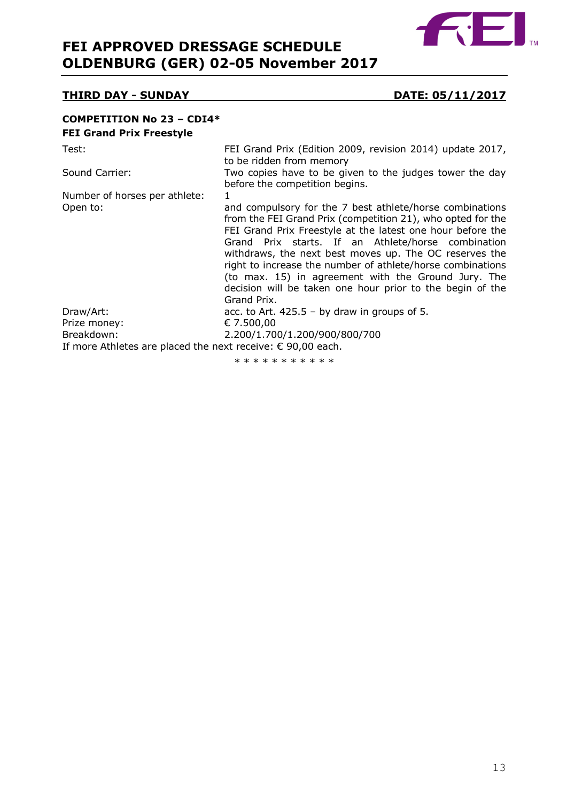

# **THIRD DAY - SUNDAY DATE: 05/11/2017**

#### **COMPETITION No 23 – CDI4\* FEI Grand Prix Freestyle**

| Test:                                                                              | FEI Grand Prix (Edition 2009, revision 2014) update 2017,<br>to be ridden from memory                                                                                                                                                                                                                                                                                                                                                                                                                  |
|------------------------------------------------------------------------------------|--------------------------------------------------------------------------------------------------------------------------------------------------------------------------------------------------------------------------------------------------------------------------------------------------------------------------------------------------------------------------------------------------------------------------------------------------------------------------------------------------------|
| Sound Carrier:                                                                     | Two copies have to be given to the judges tower the day<br>before the competition begins.                                                                                                                                                                                                                                                                                                                                                                                                              |
| Number of horses per athlete:                                                      |                                                                                                                                                                                                                                                                                                                                                                                                                                                                                                        |
| Open to:                                                                           | and compulsory for the 7 best athlete/horse combinations<br>from the FEI Grand Prix (competition 21), who opted for the<br>FEI Grand Prix Freestyle at the latest one hour before the<br>Grand Prix starts. If an Athlete/horse combination<br>withdraws, the next best moves up. The OC reserves the<br>right to increase the number of athlete/horse combinations<br>(to max. 15) in agreement with the Ground Jury. The<br>decision will be taken one hour prior to the begin of the<br>Grand Prix. |
| Draw/Art:                                                                          | acc. to Art. $425.5 - by draw in groups of 5.$                                                                                                                                                                                                                                                                                                                                                                                                                                                         |
| Prize money:                                                                       | € 7.500,00                                                                                                                                                                                                                                                                                                                                                                                                                                                                                             |
| Breakdown:<br>If more Athletes are placed the next receive: $\epsilon$ 90,00 each. | 2.200/1.700/1.200/900/800/700                                                                                                                                                                                                                                                                                                                                                                                                                                                                          |

\* \* \* \* \* \* \* \* \* \*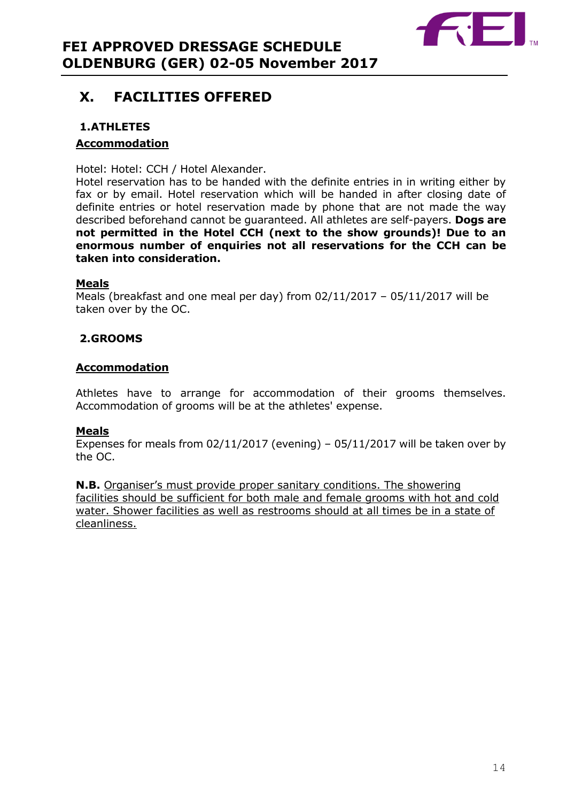

# <span id="page-13-0"></span>**X. FACILITIES OFFERED**

# <span id="page-13-1"></span>**1.ATHLETES**

# **Accommodation**

Hotel: Hotel: CCH / Hotel Alexander.

Hotel reservation has to be handed with the definite entries in in writing either by fax or by email. Hotel reservation which will be handed in after closing date of definite entries or hotel reservation made by phone that are not made the way described beforehand cannot be guaranteed. All athletes are self-payers. **Dogs are not permitted in the Hotel CCH (next to the show grounds)! Due to an enormous number of enquiries not all reservations for the CCH can be taken into consideration.**

# **Meals**

Meals (breakfast and one meal per day) from 02/11/2017 – 05/11/2017 will be taken over by the OC.

# <span id="page-13-2"></span>**2.GROOMS**

# **Accommodation**

Athletes have to arrange for accommodation of their grooms themselves. Accommodation of grooms will be at the athletes' expense.

# **Meals**

Expenses for meals from 02/11/2017 (evening) – 05/11/2017 will be taken over by the OC.

**N.B.** Organiser's must provide proper sanitary conditions. The showering facilities should be sufficient for both male and female grooms with hot and cold water. Shower facilities as well as restrooms should at all times be in a state of cleanliness.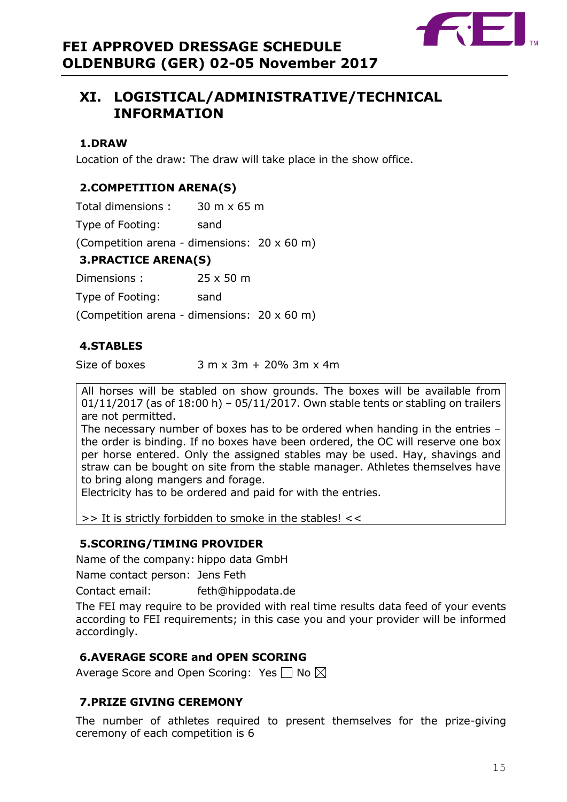

# <span id="page-14-0"></span>**XI. LOGISTICAL/ADMINISTRATIVE/TECHNICAL INFORMATION**

# <span id="page-14-1"></span>**1.DRAW**

Location of the draw: The draw will take place in the show office.

# <span id="page-14-2"></span>**2.COMPETITION ARENA(S)**

Total dimensions : 30 m x 65 m

Type of Footing: sand

(Competition arena - dimensions: 20 x 60 m)

# <span id="page-14-3"></span>**3.PRACTICE ARENA(S)**

Dimensions : 25 x 50 m

Type of Footing: sand

(Competition arena - dimensions: 20 x 60 m)

# <span id="page-14-4"></span>**4.STABLES**

Size of boxes  $3 \text{ m} \times 3\text{ m} + 20\%$  3m  $\times$  4m

All horses will be stabled on show grounds. The boxes will be available from  $01/11/2017$  (as of  $18:00$  h) –  $05/11/2017$ . Own stable tents or stabling on trailers are not permitted.

The necessary number of boxes has to be ordered when handing in the entries – the order is binding. If no boxes have been ordered, the OC will reserve one box per horse entered. Only the assigned stables may be used. Hay, shavings and straw can be bought on site from the stable manager. Athletes themselves have to bring along mangers and forage.

Electricity has to be ordered and paid for with the entries.

 $\Rightarrow$  It is strictly forbidden to smoke in the stables!  $<<$ 

# <span id="page-14-5"></span>**5.SCORING/TIMING PROVIDER**

Name of the company: hippo data GmbH

Name contact person: Jens Feth

Contact email: feth@hippodata.de

The FEI may require to be provided with real time results data feed of your events according to FEI requirements; in this case you and your provider will be informed accordingly.

# <span id="page-14-6"></span>**6.AVERAGE SCORE and OPEN SCORING**

Average Score and Open Scoring: Yes  $\square$  No  $\boxtimes$ 

# <span id="page-14-7"></span>**7.PRIZE GIVING CEREMONY**

<span id="page-14-8"></span>The number of athletes required to present themselves for the prize-giving ceremony of each competition is 6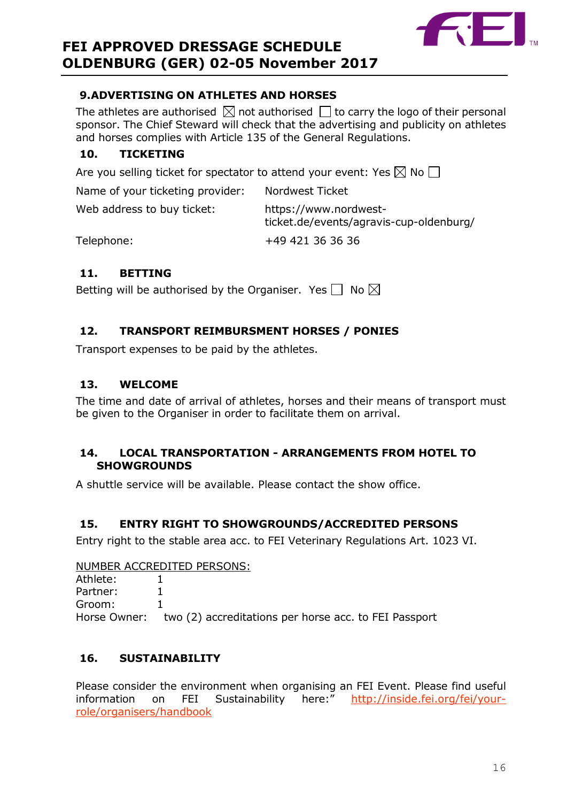

# **9.ADVERTISING ON ATHLETES AND HORSES**

The athletes are authorised  $\boxtimes$  not authorised  $\Box$  to carry the logo of their personal sponsor. The Chief Steward will check that the advertising and publicity on athletes and horses complies with Article 135 of the General Regulations.

# <span id="page-15-0"></span>**10. TICKETING**

Are you selling ticket for spectator to attend your event: Yes  $\boxtimes$  No  $\Box$ 

| Name of your ticketing provider: | Nordwest Ticket                                                  |
|----------------------------------|------------------------------------------------------------------|
| Web address to buy ticket:       | https://www.nordwest-<br>ticket.de/events/agravis-cup-oldenburg/ |
| Telephone:                       | +49 421 36 36 36                                                 |

# <span id="page-15-1"></span>**11. BETTING**

Betting will be authorised by the Organiser. Yes  $\Box$  No  $\boxtimes$ 

# <span id="page-15-2"></span>**12. TRANSPORT REIMBURSMENT HORSES / PONIES**

Transport expenses to be paid by the athletes.

# <span id="page-15-3"></span>**13. WELCOME**

The time and date of arrival of athletes, horses and their means of transport must be given to the Organiser in order to facilitate them on arrival.

# <span id="page-15-4"></span>**14. LOCAL TRANSPORTATION - ARRANGEMENTS FROM HOTEL TO SHOWGROUNDS**

A shuttle service will be available. Please contact the show office.

# <span id="page-15-5"></span>**15. ENTRY RIGHT TO SHOWGROUNDS/ACCREDITED PERSONS**

Entry right to the stable area acc. to FEI Veterinary Regulations Art. 1023 VI.

NUMBER ACCREDITED PERSONS:

Athlete: 1 Partner: 1 Groom: 1 Horse Owner: two (2) accreditations per horse acc. to FEI Passport

# <span id="page-15-6"></span>**16. SUSTAINABILITY**

Please consider the environment when organising an FEI Event. Please find useful information on FEI Sustainability here:" [http://inside.fei.org/fei/your](http://inside.fei.org/fei/your-role/organisers/handbook)[role/organisers/handbook](http://inside.fei.org/fei/your-role/organisers/handbook)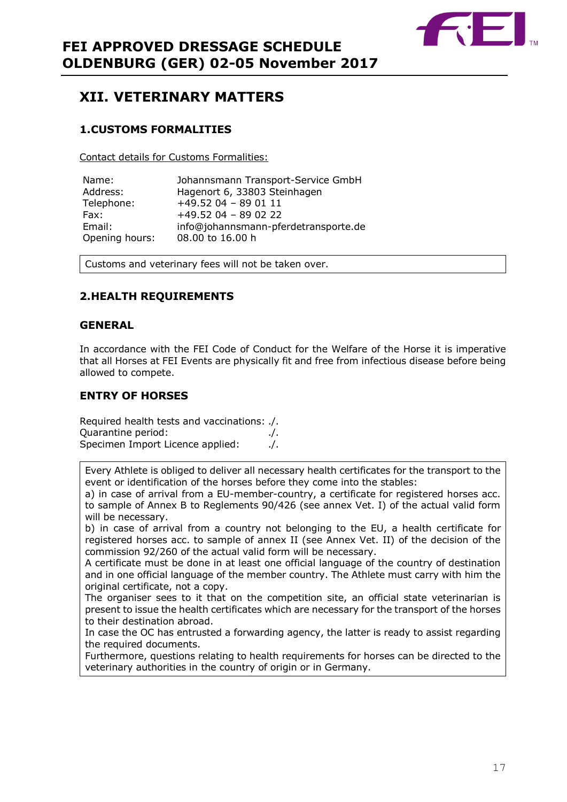

# <span id="page-16-0"></span>**XII. VETERINARY MATTERS**

# <span id="page-16-1"></span>**1.CUSTOMS FORMALITIES**

Contact details for Customs Formalities:

| Name:          | Johannsmann Transport-Service GmbH   |
|----------------|--------------------------------------|
| Address:       | Hagenort 6, 33803 Steinhagen         |
| Telephone:     | $+49.52$ 04 - 89 01 11               |
| Fax:           | $+49.52$ 04 - 89 02 22               |
| Email:         | info@johannsmann-pferdetransporte.de |
| Opening hours: | 08.00 to 16.00 h                     |

Customs and veterinary fees will not be taken over.

# <span id="page-16-2"></span>**2.HEALTH REQUIREMENTS**

#### **GENERAL**

In accordance with the FEI Code of Conduct for the Welfare of the Horse it is imperative that all Horses at FEI Events are physically fit and free from infectious disease before being allowed to compete.

## **ENTRY OF HORSES**

Required health tests and vaccinations: ./. Quarantine period: ./. Specimen Import Licence applied: ./.

Every Athlete is obliged to deliver all necessary health certificates for the transport to the event or identification of the horses before they come into the stables:

a) in case of arrival from a EU-member-country, a certificate for registered horses acc. to sample of Annex B to Reglements 90/426 (see annex Vet. I) of the actual valid form will be necessary.

b) in case of arrival from a country not belonging to the EU, a health certificate for registered horses acc. to sample of annex II (see Annex Vet. II) of the decision of the commission 92/260 of the actual valid form will be necessary.

A certificate must be done in at least one official language of the country of destination and in one official language of the member country. The Athlete must carry with him the original certificate, not a copy.

The organiser sees to it that on the competition site, an official state veterinarian is present to issue the health certificates which are necessary for the transport of the horses to their destination abroad.

In case the OC has entrusted a forwarding agency, the latter is ready to assist regarding the required documents.

Furthermore, questions relating to health requirements for horses can be directed to the veterinary authorities in the country of origin or in Germany.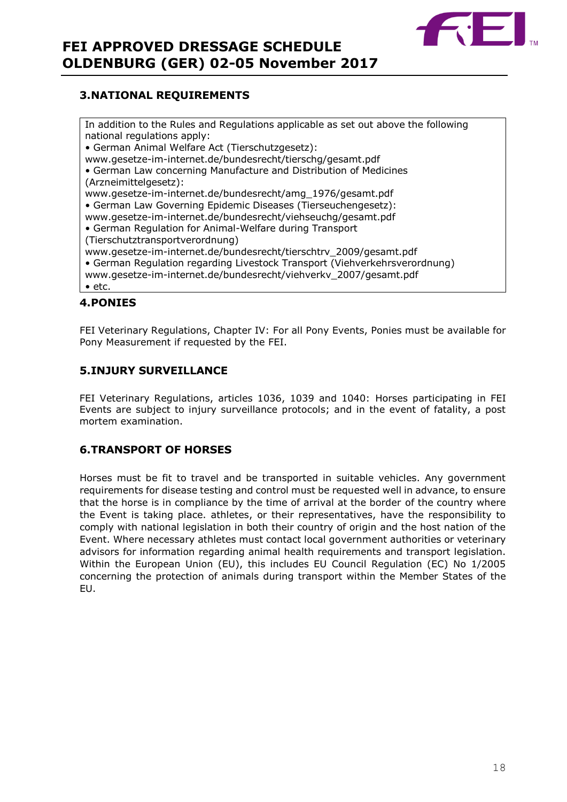

## <span id="page-17-0"></span>**3.NATIONAL REQUIREMENTS**

In addition to the Rules and Regulations applicable as set out above the following national regulations apply: • German Animal Welfare Act (Tierschutzgesetz): www.gesetze-im-internet.de/bundesrecht/tierschg/gesamt.pdf • German Law concerning Manufacture and Distribution of Medicines (Arzneimittelgesetz): www.gesetze-im-internet.de/bundesrecht/amg\_1976/gesamt.pdf • German Law Governing Epidemic Diseases (Tierseuchengesetz): www.gesetze-im-internet.de/bundesrecht/viehseuchg/gesamt.pdf • German Regulation for Animal-Welfare during Transport (Tierschutztransportverordnung) www.gesetze-im-internet.de/bundesrecht/tierschtrv\_2009/gesamt.pdf • German Regulation regarding Livestock Transport (Viehverkehrsverordnung) www.gesetze-im-internet.de/bundesrecht/viehverkv\_2007/gesamt.pdf • etc.

## <span id="page-17-1"></span>**4.PONIES**

FEI Veterinary Regulations, Chapter IV: For all Pony Events, Ponies must be available for Pony Measurement if requested by the FEI.

## <span id="page-17-2"></span>**5.INJURY SURVEILLANCE**

FEI Veterinary Regulations, articles 1036, 1039 and 1040: Horses participating in FEI Events are subject to injury surveillance protocols; and in the event of fatality, a post mortem examination.

#### <span id="page-17-3"></span>**6.TRANSPORT OF HORSES**

Horses must be fit to travel and be transported in suitable vehicles. Any government requirements for disease testing and control must be requested well in advance, to ensure that the horse is in compliance by the time of arrival at the border of the country where the Event is taking place. athletes, or their representatives, have the responsibility to comply with national legislation in both their country of origin and the host nation of the Event. Where necessary athletes must contact local government authorities or veterinary advisors for information regarding animal health requirements and transport legislation. Within the European Union (EU), this includes EU Council Regulation (EC) No 1/2005 concerning the protection of animals during transport within the Member States of the EU.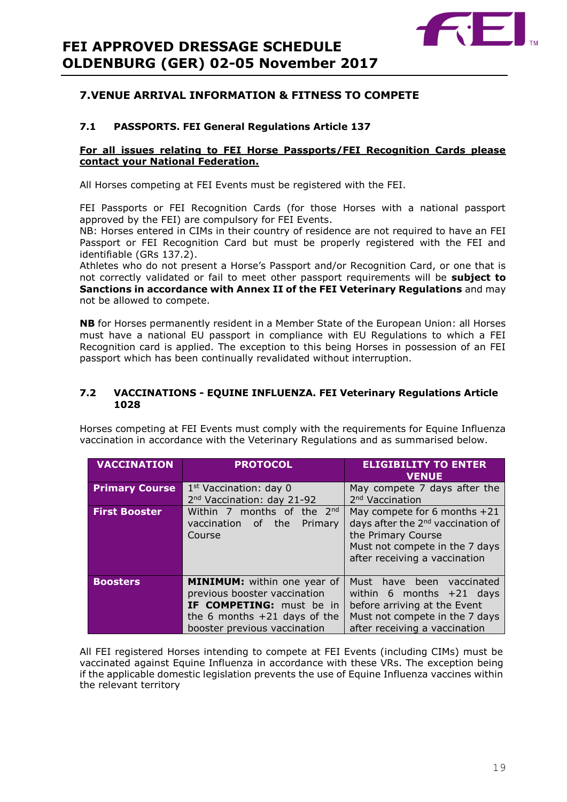

# <span id="page-18-0"></span>**7.VENUE ARRIVAL INFORMATION & FITNESS TO COMPETE**

## **7.1 PASSPORTS. FEI General Regulations Article 137**

#### **For all issues relating to FEI Horse Passports/FEI Recognition Cards please contact your National Federation.**

All Horses competing at FEI Events must be registered with the FEI.

FEI Passports or FEI Recognition Cards (for those Horses with a national passport approved by the FEI) are compulsory for FEI Events.

NB: Horses entered in CIMs in their country of residence are not required to have an FEI Passport or FEI Recognition Card but must be properly registered with the FEI and identifiable (GRs 137.2).

Athletes who do not present a Horse's Passport and/or Recognition Card, or one that is not correctly validated or fail to meet other passport requirements will be **subject to Sanctions in accordance with Annex II of the FEI Veterinary Regulations** and may not be allowed to compete.

**NB** for Horses permanently resident in a Member State of the European Union: all Horses must have a national EU passport in compliance with EU Regulations to which a FEI Recognition card is applied. The exception to this being Horses in possession of an FEI passport which has been continually revalidated without interruption.

#### **7.2 VACCINATIONS - EQUINE INFLUENZA. FEI Veterinary Regulations Article 1028**

Horses competing at FEI Events must comply with the requirements for Equine Influenza vaccination in accordance with the Veterinary Regulations and as summarised below.

| <b>VACCINATION</b>    | <b>PROTOCOL</b>                                                                                                                                                         | <b>ELIGIBILITY TO ENTER</b><br><b>VENUE</b>                                                                                                                              |
|-----------------------|-------------------------------------------------------------------------------------------------------------------------------------------------------------------------|--------------------------------------------------------------------------------------------------------------------------------------------------------------------------|
| <b>Primary Course</b> | $1st$ Vaccination: day 0<br>2 <sup>nd</sup> Vaccination: day 21-92                                                                                                      | May compete 7 days after the<br>2 <sup>nd</sup> Vaccination                                                                                                              |
| <b>First Booster</b>  | Within 7 months of the $2^{nd}$<br>vaccination of<br>the <b>the</b><br>Primary<br>Course                                                                                | May compete for 6 months $+21$<br>days after the 2 <sup>nd</sup> vaccination of<br>the Primary Course<br>Must not compete in the 7 days<br>after receiving a vaccination |
| <b>Boosters</b>       | <b>MINIMUM:</b> within one year of<br>previous booster vaccination<br><b>IF COMPETING:</b> must be in<br>the 6 months $+21$ days of the<br>booster previous vaccination | Must have been vaccinated<br>within 6 months $+21$ days<br>before arriving at the Event<br>Must not compete in the 7 days<br>after receiving a vaccination               |

All FEI registered Horses intending to compete at FEI Events (including CIMs) must be vaccinated against Equine Influenza in accordance with these VRs. The exception being if the applicable domestic legislation prevents the use of Equine Influenza vaccines within the relevant territory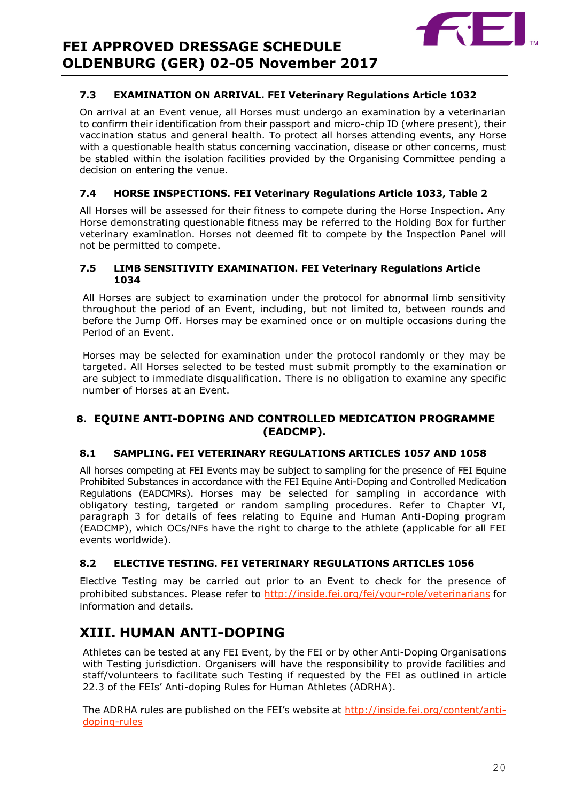

## **7.3 EXAMINATION ON ARRIVAL. FEI Veterinary Regulations Article 1032**

On arrival at an Event venue, all Horses must undergo an examination by a veterinarian to confirm their identification from their passport and micro-chip ID (where present), their vaccination status and general health. To protect all horses attending events, any Horse with a questionable health status concerning vaccination, disease or other concerns, must be stabled within the isolation facilities provided by the Organising Committee pending a decision on entering the venue.

## **7.4 HORSE INSPECTIONS. FEI Veterinary Regulations Article 1033, Table 2**

All Horses will be assessed for their fitness to compete during the Horse Inspection. Any Horse demonstrating questionable fitness may be referred to the Holding Box for further veterinary examination. Horses not deemed fit to compete by the Inspection Panel will not be permitted to compete.

#### **7.5 LIMB SENSITIVITY EXAMINATION. FEI Veterinary Regulations Article 1034**

All Horses are subject to examination under the protocol for abnormal limb sensitivity throughout the period of an Event, including, but not limited to, between rounds and before the Jump Off. Horses may be examined once or on multiple occasions during the Period of an Event.

Horses may be selected for examination under the protocol randomly or they may be targeted. All Horses selected to be tested must submit promptly to the examination or are subject to immediate disqualification. There is no obligation to examine any specific number of Horses at an Event.

# <span id="page-19-0"></span>**8. EQUINE ANTI-DOPING AND CONTROLLED MEDICATION PROGRAMME (EADCMP).**

## **8.1 SAMPLING. FEI VETERINARY REGULATIONS ARTICLES 1057 AND 1058**

All horses competing at FEI Events may be subject to sampling for the presence of FEI Equine Prohibited Substances in accordance with the FEI Equine Anti-Doping and Controlled Medication Regulations (EADCMRs). Horses may be selected for sampling in accordance with obligatory testing, targeted or random sampling procedures. Refer to Chapter VI, paragraph 3 for details of fees relating to Equine and Human Anti-Doping program (EADCMP), which OCs/NFs have the right to charge to the athlete (applicable for all FEI events worldwide).

#### **8.2 ELECTIVE TESTING. FEI VETERINARY REGULATIONS ARTICLES 1056**

Elective Testing may be carried out prior to an Event to check for the presence of prohibited substances. Please refer to<http://inside.fei.org/fei/your-role/veterinarians> for information and details.

# <span id="page-19-1"></span>**XIII. HUMAN ANTI-DOPING**

Athletes can be tested at any FEI Event, by the FEI or by other Anti-Doping Organisations with Testing jurisdiction. Organisers will have the responsibility to provide facilities and staff/volunteers to facilitate such Testing if requested by the FEI as outlined in article 22.3 of the FEIs' Anti-doping Rules for Human Athletes (ADRHA).

The ADRHA rules are published on the FEI's website at [http://inside.fei.org/content/anti](http://inside.fei.org/content/anti-doping-rules)[doping-rules](http://inside.fei.org/content/anti-doping-rules)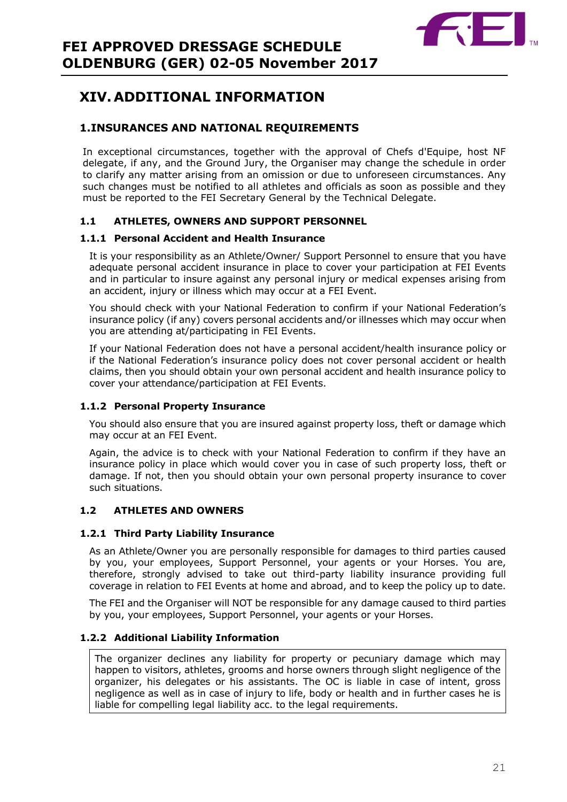

# <span id="page-20-0"></span>**XIV. ADDITIONAL INFORMATION**

# <span id="page-20-1"></span>**1.INSURANCES AND NATIONAL REQUIREMENTS**

In exceptional circumstances, together with the approval of Chefs d'Equipe, host NF delegate, if any, and the Ground Jury, the Organiser may change the schedule in order to clarify any matter arising from an omission or due to unforeseen circumstances. Any such changes must be notified to all athletes and officials as soon as possible and they must be reported to the FEI Secretary General by the Technical Delegate.

## **1.1 ATHLETES, OWNERS AND SUPPORT PERSONNEL**

#### **1.1.1 Personal Accident and Health Insurance**

It is your responsibility as an Athlete/Owner/ Support Personnel to ensure that you have adequate personal accident insurance in place to cover your participation at FEI Events and in particular to insure against any personal injury or medical expenses arising from an accident, injury or illness which may occur at a FEI Event.

You should check with your National Federation to confirm if your National Federation's insurance policy (if any) covers personal accidents and/or illnesses which may occur when you are attending at/participating in FEI Events.

If your National Federation does not have a personal accident/health insurance policy or if the National Federation's insurance policy does not cover personal accident or health claims, then you should obtain your own personal accident and health insurance policy to cover your attendance/participation at FEI Events.

#### **1.1.2 Personal Property Insurance**

You should also ensure that you are insured against property loss, theft or damage which may occur at an FEI Event.

Again, the advice is to check with your National Federation to confirm if they have an insurance policy in place which would cover you in case of such property loss, theft or damage. If not, then you should obtain your own personal property insurance to cover such situations.

#### **1.2 ATHLETES AND OWNERS**

#### **1.2.1 Third Party Liability Insurance**

As an Athlete/Owner you are personally responsible for damages to third parties caused by you, your employees, Support Personnel, your agents or your Horses. You are, therefore, strongly advised to take out third-party liability insurance providing full coverage in relation to FEI Events at home and abroad, and to keep the policy up to date.

The FEI and the Organiser will NOT be responsible for any damage caused to third parties by you, your employees, Support Personnel, your agents or your Horses.

#### **1.2.2 Additional Liability Information**

The organizer declines any liability for property or pecuniary damage which may happen to visitors, athletes, grooms and horse owners through slight negligence of the organizer, his delegates or his assistants. The OC is liable in case of intent, gross negligence as well as in case of injury to life, body or health and in further cases he is liable for compelling legal liability acc. to the legal requirements.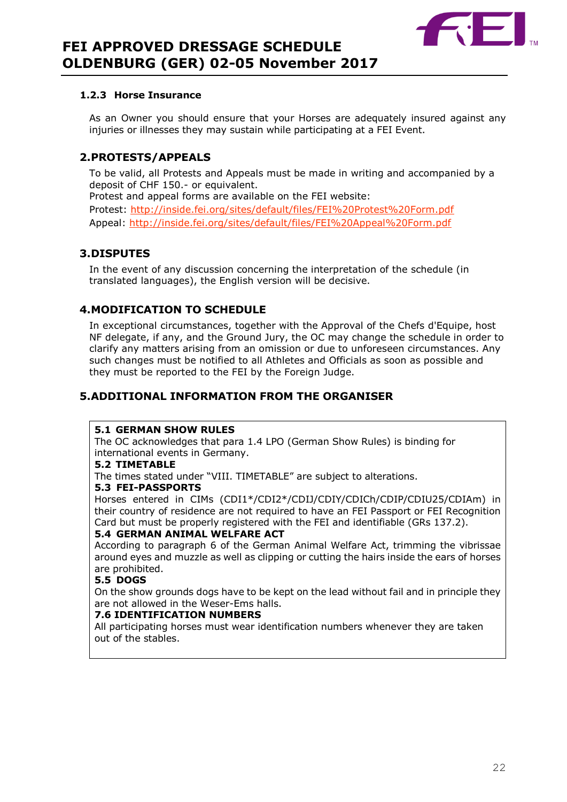

#### **1.2.3 Horse Insurance**

As an Owner you should ensure that your Horses are adequately insured against any injuries or illnesses they may sustain while participating at a FEI Event.

## <span id="page-21-0"></span>**2.PROTESTS/APPEALS**

To be valid, all Protests and Appeals must be made in writing and accompanied by a deposit of CHF 150.- or equivalent.

Protest and appeal forms are available on the FEI website: Protest:<http://inside.fei.org/sites/default/files/FEI%20Protest%20Form.pdf> Appeal:<http://inside.fei.org/sites/default/files/FEI%20Appeal%20Form.pdf>

## <span id="page-21-1"></span>**3.DISPUTES**

In the event of any discussion concerning the interpretation of the schedule (in translated languages), the English version will be decisive.

## <span id="page-21-2"></span>**4.MODIFICATION TO SCHEDULE**

In exceptional circumstances, together with the Approval of the Chefs d'Equipe, host NF delegate, if any, and the Ground Jury, the OC may change the schedule in order to clarify any matters arising from an omission or due to unforeseen circumstances. Any such changes must be notified to all Athletes and Officials as soon as possible and they must be reported to the FEI by the Foreign Judge.

# <span id="page-21-3"></span>**5.ADDITIONAL INFORMATION FROM THE ORGANISER**

#### **5.1 GERMAN SHOW RULES**

The OC acknowledges that para 1.4 LPO (German Show Rules) is binding for international events in Germany.

#### **5.2 TIMETABLE**

The times stated under "VIII. TIMETABLE" are subject to alterations.

#### **5.3 FEI-PASSPORTS**

Horses entered in CIMs (CDI1\*/CDI2\*/CDIJ/CDIY/CDICh/CDIP/CDIU25/CDIAm) in their country of residence are not required to have an FEI Passport or FEI Recognition Card but must be properly registered with the FEI and identifiable (GRs 137.2).

#### **5.4 GERMAN ANIMAL WELFARE ACT**

According to paragraph 6 of the German Animal Welfare Act, trimming the vibrissae around eyes and muzzle as well as clipping or cutting the hairs inside the ears of horses are prohibited.

#### **5.5 DOGS**

On the show grounds dogs have to be kept on the lead without fail and in principle they are not allowed in the Weser-Ems halls.

#### **7.6 IDENTIFICATION NUMBERS**

All participating horses must wear identification numbers whenever they are taken out of the stables.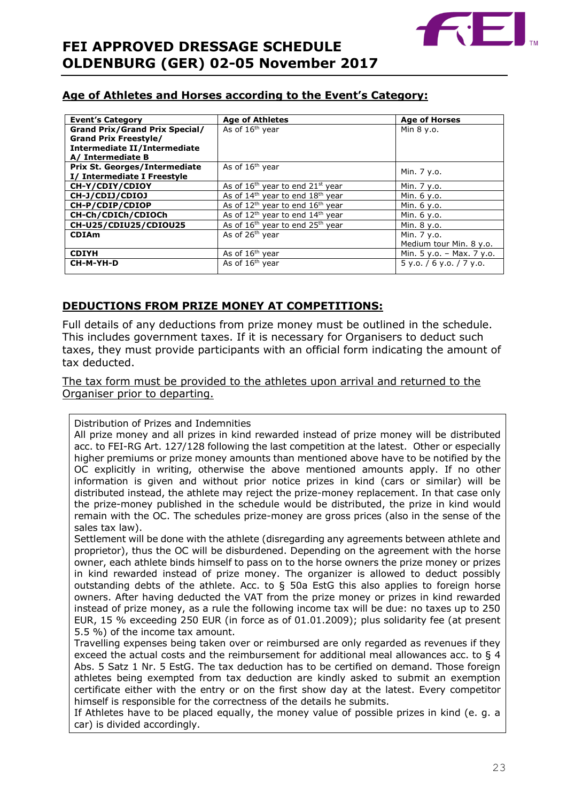

# **Age of Athletes and Horses according to the Event's Category:**

| <b>Event's Category</b>               | <b>Age of Athletes</b>                                   | <b>Age of Horses</b>        |  |
|---------------------------------------|----------------------------------------------------------|-----------------------------|--|
| <b>Grand Prix/Grand Prix Special/</b> | As of 16 <sup>th</sup> year                              | Min 8 y.o.                  |  |
| <b>Grand Prix Freestyle/</b>          |                                                          |                             |  |
| Intermediate II/Intermediate          |                                                          |                             |  |
| A/ Intermediate B                     |                                                          |                             |  |
| <b>Prix St. Georges/Intermediate</b>  | As of 16 <sup>th</sup> year                              |                             |  |
| I/ Intermediate I Freestyle           |                                                          | Min. 7 y.o.                 |  |
| CH-Y/CDIY/CDIOY                       | As of $16th$ year to end $21st$ year                     | Min. 7 y.o.                 |  |
| CH-J/CDIJ/CDIOJ                       | As of $14th$ year to end $18th$ year                     | Min. 6 y.o.                 |  |
| CH-P/CDIP/CDIOP                       | As of $12^{th}$ year to end $16^{th}$ year               | Min. 6 y.o.                 |  |
| CH-Ch/CDICh/CDIOCh                    | As of 12 <sup>th</sup> year to end 14 <sup>th</sup> year | Min. 6 y.o.                 |  |
| CH-U25/CDIU25/CDIOU25                 | As of 16 <sup>th</sup> year to end 25 <sup>th</sup> year | Min. 8 y.o.                 |  |
| <b>CDIAm</b>                          | As of 26 <sup>th</sup> year                              | Min. 7 y.o.                 |  |
|                                       |                                                          | Medium tour Min. 8 y.o.     |  |
| <b>CDIYH</b>                          | As of $16th$ year                                        | Min. $5 y.o. - Max. 7 y.o.$ |  |
| CH-M-YH-D                             | As of 16 <sup>th</sup> year                              | $5$ y.o. / 6 y.o. / 7 y.o.  |  |
|                                       |                                                          |                             |  |

# **DEDUCTIONS FROM PRIZE MONEY AT COMPETITIONS:**

Full details of any deductions from prize money must be outlined in the schedule. This includes government taxes. If it is necessary for Organisers to deduct such taxes, they must provide participants with an official form indicating the amount of tax deducted.

The tax form must be provided to the athletes upon arrival and returned to the Organiser prior to departing.

Distribution of Prizes and Indemnities

All prize money and all prizes in kind rewarded instead of prize money will be distributed acc. to FEI-RG Art. 127/128 following the last competition at the latest. Other or especially higher premiums or prize money amounts than mentioned above have to be notified by the OC explicitly in writing, otherwise the above mentioned amounts apply. If no other information is given and without prior notice prizes in kind (cars or similar) will be distributed instead, the athlete may reject the prize-money replacement. In that case only the prize-money published in the schedule would be distributed, the prize in kind would remain with the OC. The schedules prize-money are gross prices (also in the sense of the sales tax law).

Settlement will be done with the athlete (disregarding any agreements between athlete and proprietor), thus the OC will be disburdened. Depending on the agreement with the horse owner, each athlete binds himself to pass on to the horse owners the prize money or prizes in kind rewarded instead of prize money. The organizer is allowed to deduct possibly outstanding debts of the athlete. Acc. to § 50a EstG this also applies to foreign horse owners. After having deducted the VAT from the prize money or prizes in kind rewarded instead of prize money, as a rule the following income tax will be due: no taxes up to 250 EUR, 15 % exceeding 250 EUR (in force as of 01.01.2009); plus solidarity fee (at present 5.5 %) of the income tax amount.

Travelling expenses being taken over or reimbursed are only regarded as revenues if they exceed the actual costs and the reimbursement for additional meal allowances acc. to § 4 Abs. 5 Satz 1 Nr. 5 EstG. The tax deduction has to be certified on demand. Those foreign athletes being exempted from tax deduction are kindly asked to submit an exemption certificate either with the entry or on the first show day at the latest. Every competitor himself is responsible for the correctness of the details he submits.

If Athletes have to be placed equally, the money value of possible prizes in kind (e. g. a car) is divided accordingly.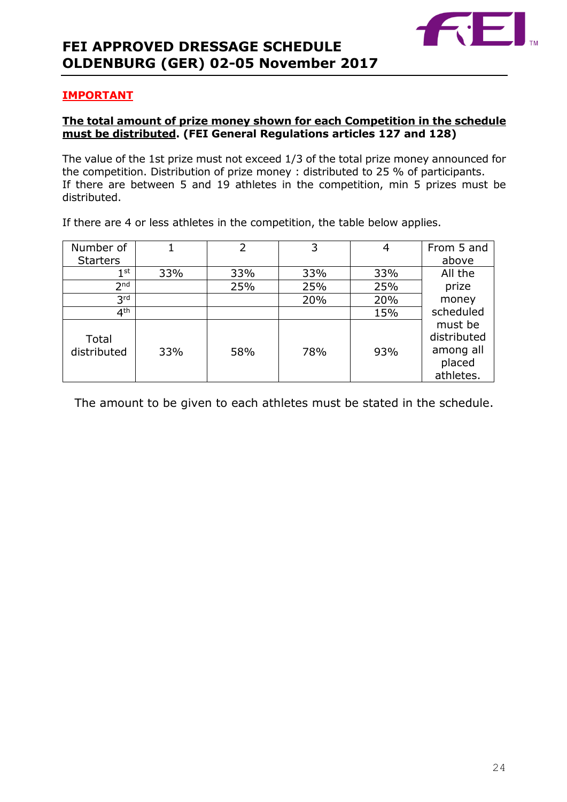

## **IMPORTANT**

## **The total amount of prize money shown for each Competition in the schedule must be distributed. (FEI General Regulations articles 127 and 128)**

The value of the 1st prize must not exceed 1/3 of the total prize money announced for the competition. Distribution of prize money : distributed to 25 % of participants. If there are between 5 and 19 athletes in the competition, min 5 prizes must be distributed.

| Number of            |     | 2   | 3   |     | From 5 and                                                 |
|----------------------|-----|-----|-----|-----|------------------------------------------------------------|
| <b>Starters</b>      |     |     |     |     | above                                                      |
| 1 <sup>st</sup>      | 33% | 33% | 33% | 33% | All the                                                    |
| 2 <sub>nd</sub>      |     | 25% | 25% | 25% | prize                                                      |
| 3 <sup>rd</sup>      |     |     | 20% | 20% | money                                                      |
| 4 <sup>th</sup>      |     |     |     | 15% | scheduled                                                  |
| Total<br>distributed | 33% | 58% | 78% | 93% | must be<br>distributed<br>among all<br>placed<br>athletes. |

If there are 4 or less athletes in the competition, the table below applies.

The amount to be given to each athletes must be stated in the schedule.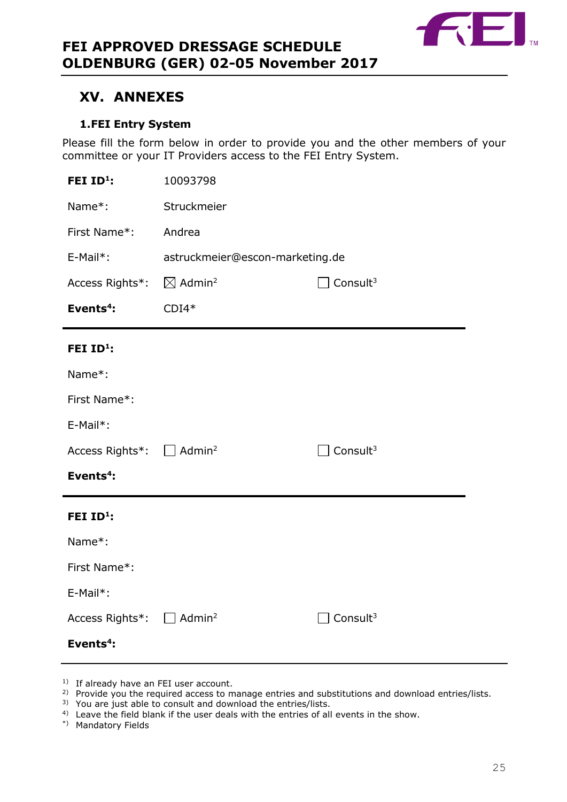

# <span id="page-24-0"></span>**XV. ANNEXES**

# **1.FEI Entry System**

<span id="page-24-1"></span>Please fill the form below in order to provide you and the other members of your committee or your IT Providers access to the FEI Entry System.

| FEI ID <sup>1</sup> :                             | 10093798                                               |                      |  |  |
|---------------------------------------------------|--------------------------------------------------------|----------------------|--|--|
| Name*:                                            | Struckmeier                                            |                      |  |  |
| First Name*:                                      | Andrea                                                 |                      |  |  |
| E-Mail*:                                          | astruckmeier@escon-marketing.de                        |                      |  |  |
| Access Rights*:                                   | $\boxtimes$ Admin <sup>2</sup><br>Consult <sup>3</sup> |                      |  |  |
| Events <sup>4</sup> :                             | $CDI4*$                                                |                      |  |  |
| FEI ID <sup>1</sup> :                             |                                                        |                      |  |  |
| Name*:                                            |                                                        |                      |  |  |
| First Name*:                                      |                                                        |                      |  |  |
| E-Mail*:                                          |                                                        |                      |  |  |
| Access Rights <sup>*</sup> : □ Admin <sup>2</sup> |                                                        | Consult $3$          |  |  |
| Events <sup>4</sup> :                             |                                                        |                      |  |  |
| FEI ID <sup>1</sup> :                             |                                                        |                      |  |  |
| Name*:                                            |                                                        |                      |  |  |
| First Name*:                                      |                                                        |                      |  |  |
| E-Mail*:                                          |                                                        |                      |  |  |
| Access Rights*: $\square$                         | Admin <sup>2</sup>                                     | Consult <sup>3</sup> |  |  |
|                                                   |                                                        |                      |  |  |

- <sup>1)</sup> If already have an FEI user account.
- <sup>2)</sup> Provide you the required access to manage entries and substitutions and download entries/lists.
- <sup>3)</sup> You are just able to consult and download the entries/lists.
- <sup>4)</sup> Leave the field blank if the user deals with the entries of all events in the show.
- \*) Mandatory Fields

**Events<sup>4</sup> :**